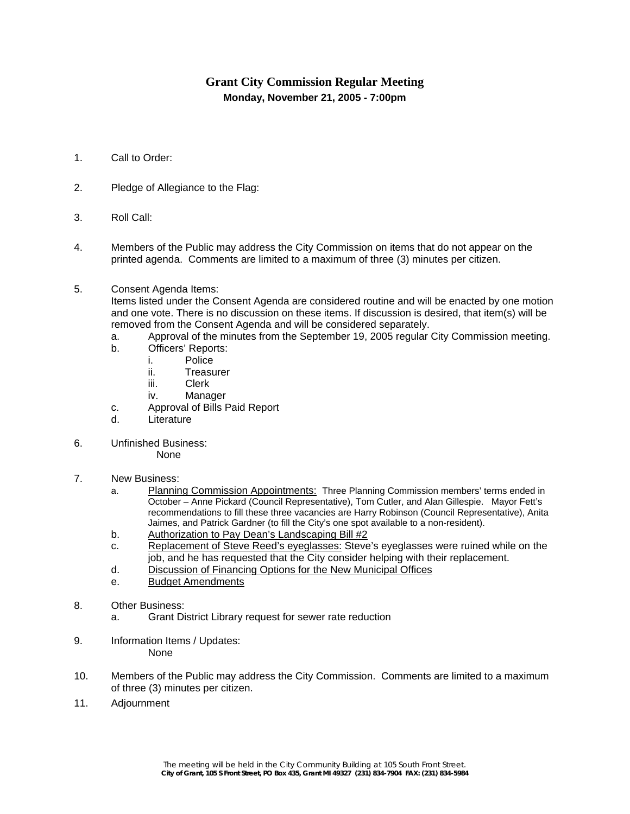## **Grant City Commission Regular Meeting Monday, November 21, 2005 - 7:00pm**

- 1. Call to Order:
- 2. Pledge of Allegiance to the Flag:
- 3. Roll Call:
- 4. Members of the Public may address the City Commission on items that do not appear on the printed agenda. Comments are limited to a maximum of three (3) minutes per citizen.
- 5. Consent Agenda Items:

Items listed under the Consent Agenda are considered routine and will be enacted by one motion and one vote. There is no discussion on these items. If discussion is desired, that item(s) will be removed from the Consent Agenda and will be considered separately.

- a. Approval of the minutes from the September 19, 2005 regular City Commission meeting.
- b. Officers' Reports:
	- i. Police
	- ii. Treasurer
	- iii. Clerk
	- iv. Manager
- c. Approval of Bills Paid Report
- d. Literature
- 6. Unfinished Business:
	- None
- 7. New Business:
	- a. Planning Commission Appointments: Three Planning Commission members' terms ended in October – Anne Pickard (Council Representative), Tom Cutler, and Alan Gillespie. Mayor Fett's recommendations to fill these three vacancies are Harry Robinson (Council Representative), Anita Jaimes, and Patrick Gardner (to fill the City's one spot available to a non-resident).
	- b. Authorization to Pay Dean's Landscaping Bill #2
	- c. Replacement of Steve Reed's eyeglasses: Steve's eyeglasses were ruined while on the job, and he has requested that the City consider helping with their replacement.
	- d. Discussion of Financing Options for the New Municipal Offices
	- e. Budget Amendments
- 8. Other Business:
	- a. Grant District Library request for sewer rate reduction
- 9. Information Items / Updates: None
- 10. Members of the Public may address the City Commission. Comments are limited to a maximum of three (3) minutes per citizen.
- 11. Adjournment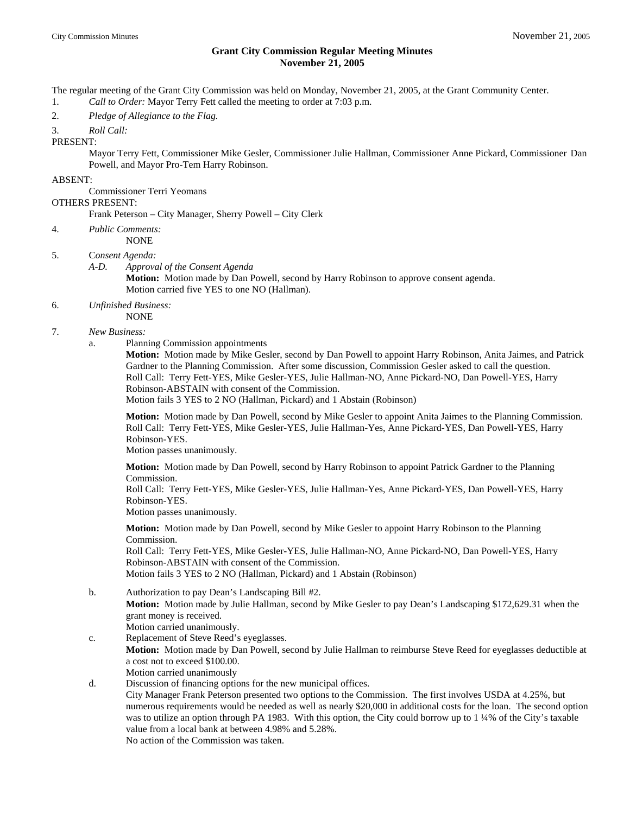## **Grant City Commission Regular Meeting Minutes November 21, 2005**

The regular meeting of the Grant City Commission was held on Monday, November 21, 2005, at the Grant Community Center. 1. *Call to Order:* Mayor Terry Fett called the meeting to order at 7:03 p.m.

2. *Pledge of Allegiance to the Flag.*

3. *Roll Call:*

PRESENT:

 Mayor Terry Fett, Commissioner Mike Gesler, Commissioner Julie Hallman, Commissioner Anne Pickard, Commissioner Dan Powell, and Mayor Pro-Tem Harry Robinson.

## ABSENT:

 Commissioner Terri Yeomans OTHERS PRESENT:

Frank Peterson – City Manager, Sherry Powell – City Clerk

4. *Public Comments:*

NONE

- 5. C*onsent Agenda:*
	- *A-D. Approval of the Consent Agenda*

**Motion:** Motion made by Dan Powell, second by Harry Robinson to approve consent agenda. Motion carried five YES to one NO (Hallman).

- 6. *Unfinished Business:*
- NONE
- 7. *New Business:* 
	- a. Planning Commission appointments

 **Motion:** Motion made by Mike Gesler, second by Dan Powell to appoint Harry Robinson, Anita Jaimes, and Patrick Gardner to the Planning Commission. After some discussion, Commission Gesler asked to call the question. Roll Call: Terry Fett-YES, Mike Gesler-YES, Julie Hallman-NO, Anne Pickard-NO, Dan Powell-YES, Harry Robinson-ABSTAIN with consent of the Commission.

Motion fails 3 YES to 2 NO (Hallman, Pickard) and 1 Abstain (Robinson)

 **Motion:** Motion made by Dan Powell, second by Mike Gesler to appoint Anita Jaimes to the Planning Commission. Roll Call: Terry Fett-YES, Mike Gesler-YES, Julie Hallman-Yes, Anne Pickard-YES, Dan Powell-YES, Harry Robinson-YES.

Motion passes unanimously.

 **Motion:** Motion made by Dan Powell, second by Harry Robinson to appoint Patrick Gardner to the Planning Commission.

 Roll Call: Terry Fett-YES, Mike Gesler-YES, Julie Hallman-Yes, Anne Pickard-YES, Dan Powell-YES, Harry Robinson-YES.

Motion passes unanimously.

 **Motion:** Motion made by Dan Powell, second by Mike Gesler to appoint Harry Robinson to the Planning Commission.

 Roll Call: Terry Fett-YES, Mike Gesler-YES, Julie Hallman-NO, Anne Pickard-NO, Dan Powell-YES, Harry Robinson-ABSTAIN with consent of the Commission. Motion fails 3 YES to 2 NO (Hallman, Pickard) and 1 Abstain (Robinson)

- b. Authorization to pay Dean's Landscaping Bill #2.
	- **Motion:** Motion made by Julie Hallman, second by Mike Gesler to pay Dean's Landscaping \$172,629.31 when the grant money is received. Motion carried unanimously.
- c. Replacement of Steve Reed's eyeglasses. **Motion:** Motion made by Dan Powell, second by Julie Hallman to reimburse Steve Reed for eyeglasses deductible at a cost not to exceed \$100.00. Motion carried unanimously
- d. Discussion of financing options for the new municipal offices. City Manager Frank Peterson presented two options to the Commission. The first involves USDA at 4.25%, but numerous requirements would be needed as well as nearly \$20,000 in additional costs for the loan. The second option was to utilize an option through PA 1983. With this option, the City could borrow up to 1 ¼% of the City's taxable value from a local bank at between 4.98% and 5.28%.

No action of the Commission was taken.